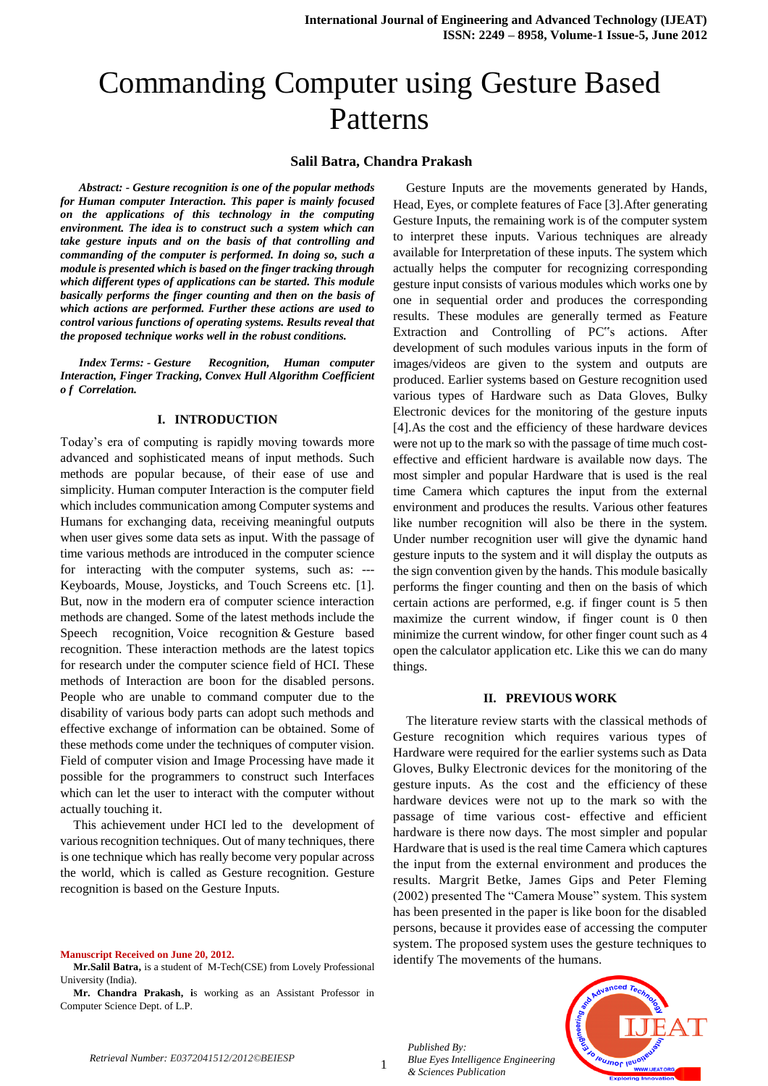# Commanding Computer using Gesture Based Patterns

### **Salil Batra, Chandra Prakash**

*Abstract: - Gesture recognition is one of the popular methods for Human computer Interaction. This paper is mainly focused on the applications of this technology in the computing environment. The idea is to construct such a system which can take gesture inputs and on the basis of that controlling and commanding of the computer is performed. In doing so, such a module is presented which is based on the finger tracking through which different types of applications can be started. This module basically performs the finger counting and then on the basis of which actions are performed. Further these actions are used to control various functions of operating systems. Results reveal that the proposed technique works well in the robust conditions.*

*Index Terms: - Gesture Recognition, Human computer Interaction, Finger Tracking, Convex Hull Algorithm Coefficient o f Correlation.*

#### **I. INTRODUCTION**

Today's era of computing is rapidly moving towards more advanced and sophisticated means of input methods. Such methods are popular because, of their ease of use and simplicity. Human computer Interaction is the computer field which includes communication among Computer systems and Humans for exchanging data, receiving meaningful outputs when user gives some data sets as input. With the passage of time various methods are introduced in the computer science for interacting with the computer systems, such as: --- Keyboards, Mouse, Joysticks, and Touch Screens etc. [1]. But, now in the modern era of computer science interaction methods are changed. Some of the latest methods include the Speech recognition, Voice recognition & Gesture based recognition. These interaction methods are the latest topics for research under the computer science field of HCI. These methods of Interaction are boon for the disabled persons. People who are unable to command computer due to the disability of various body parts can adopt such methods and effective exchange of information can be obtained. Some of these methods come under the techniques of computer vision. Field of computer vision and Image Processing have made it possible for the programmers to construct such Interfaces which can let the user to interact with the computer without actually touching it.

This achievement under HCI led to the development of various recognition techniques. Out of many techniques, there is one technique which has really become very popular across the world, which is called as Gesture recognition. Gesture recognition is based on the Gesture Inputs.

**Manuscript Received on June 20, 2012.**

**Mr.Salil Batra,** is a student of M-Tech(CSE) from Lovely Professional University (India).

**Mr. Chandra Prakash, i**s working as an Assistant Professor in Computer Science Dept. of L.P.

Gesture Inputs are the movements generated by Hands, Head, Eyes, or complete features of Face [3].After generating Gesture Inputs, the remaining work is of the computer system to interpret these inputs. Various techniques are already available for Interpretation of these inputs. The system which actually helps the computer for recognizing corresponding gesture input consists of various modules which works one by one in sequential order and produces the corresponding results. These modules are generally termed as Feature Extraction and Controlling of PC"s actions. After development of such modules various inputs in the form of images/videos are given to the system and outputs are produced. Earlier systems based on Gesture recognition used various types of Hardware such as Data Gloves, Bulky Electronic devices for the monitoring of the gesture inputs [4].As the cost and the efficiency of these hardware devices were not up to the mark so with the passage of time much costeffective and efficient hardware is available now days. The most simpler and popular Hardware that is used is the real time Camera which captures the input from the external environment and produces the results. Various other features like number recognition will also be there in the system. Under number recognition user will give the dynamic hand gesture inputs to the system and it will display the outputs as the sign convention given by the hands. This module basically performs the finger counting and then on the basis of which certain actions are performed, e.g. if finger count is 5 then maximize the current window, if finger count is 0 then minimize the current window, for other finger count such as 4 open the calculator application etc. Like this we can do many things.

#### **II. PREVIOUS WORK**

The literature review starts with the classical methods of Gesture recognition which requires various types of Hardware were required for the earlier systems such as Data Gloves, Bulky Electronic devices for the monitoring of the gesture inputs. As the cost and the efficiency of these hardware devices were not up to the mark so with the passage of time various cost- effective and efficient hardware is there now days. The most simpler and popular Hardware that is used is the real time Camera which captures the input from the external environment and produces the results. Margrit Betke, James Gips and Peter Fleming (2002) presented The "Camera Mouse" system. This system has been presented in the paper is like boon for the disabled persons, because it provides ease of accessing the computer system. The proposed system uses the gesture techniques to identify The movements of the humans.





*Published By: Blue Eyes Intelligence Engineering & Sciences Publication* 

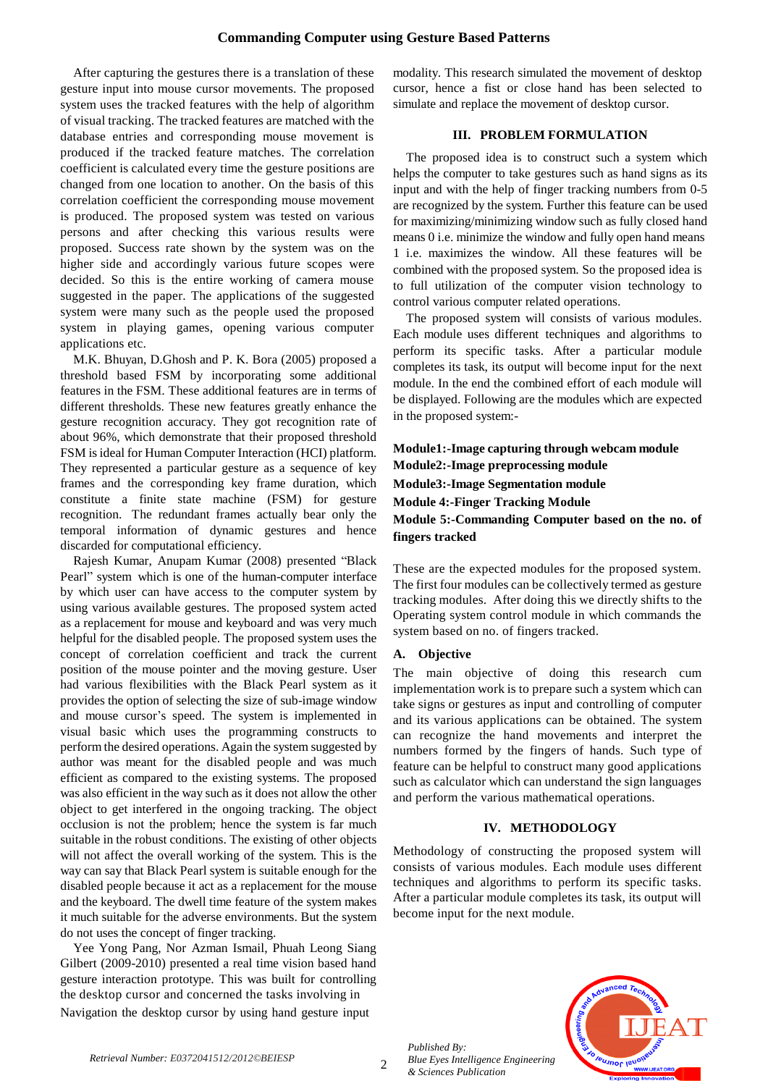## **Commanding Computer using Gesture Based Patterns**

After capturing the gestures there is a translation of these gesture input into mouse cursor movements. The proposed system uses the tracked features with the help of algorithm of visual tracking. The tracked features are matched with the database entries and corresponding mouse movement is produced if the tracked feature matches. The correlation coefficient is calculated every time the gesture positions are changed from one location to another. On the basis of this correlation coefficient the corresponding mouse movement is produced. The proposed system was tested on various persons and after checking this various results were proposed. Success rate shown by the system was on the higher side and accordingly various future scopes were decided. So this is the entire working of camera mouse suggested in the paper. The applications of the suggested system were many such as the people used the proposed system in playing games, opening various computer applications etc.

M.K. Bhuyan, D.Ghosh and P. K. Bora (2005) proposed a threshold based FSM by incorporating some additional features in the FSM. These additional features are in terms of different thresholds. These new features greatly enhance the gesture recognition accuracy. They got recognition rate of about 96%, which demonstrate that their proposed threshold FSM isideal for Human Computer Interaction (HCI) platform. They represented a particular gesture as a sequence of key frames and the corresponding key frame duration, which constitute a finite state machine (FSM) for gesture recognition. The redundant frames actually bear only the temporal information of dynamic gestures and hence discarded for computational efficiency.

Rajesh Kumar, Anupam Kumar (2008) presented "Black Pearl" system which is one of the human-computer interface by which user can have access to the computer system by using various available gestures. The proposed system acted as a replacement for mouse and keyboard and was very much helpful for the disabled people. The proposed system uses the concept of correlation coefficient and track the current position of the mouse pointer and the moving gesture. User had various flexibilities with the Black Pearl system as it provides the option of selecting the size of sub-image window and mouse cursor's speed. The system is implemented in visual basic which uses the programming constructs to perform the desired operations. Again the system suggested by author was meant for the disabled people and was much efficient as compared to the existing systems. The proposed was also efficient in the way such as it does not allow the other object to get interfered in the ongoing tracking. The object occlusion is not the problem; hence the system is far much suitable in the robust conditions. The existing of other objects will not affect the overall working of the system. This is the way can say that Black Pearl system is suitable enough for the disabled people because it act as a replacement for the mouse and the keyboard. The dwell time feature of the system makes it much suitable for the adverse environments. But the system do not uses the concept of finger tracking.

Yee Yong Pang, Nor Azman Ismail, Phuah Leong Siang Gilbert (2009-2010) presented a real time vision based hand gesture interaction prototype. This was built for controlling the desktop cursor and concerned the tasks involving in Navigation the desktop cursor by using hand gesture input

modality. This research simulated the movement of desktop cursor, hence a fist or close hand has been selected to simulate and replace the movement of desktop cursor.

# **III. PROBLEM FORMULATION**

The proposed idea is to construct such a system which helps the computer to take gestures such as hand signs as its input and with the help of finger tracking numbers from 0-5 are recognized by the system. Further this feature can be used for maximizing/minimizing window such as fully closed hand means 0 i.e. minimize the window and fully open hand means 1 i.e. maximizes the window. All these features will be combined with the proposed system. So the proposed idea is to full utilization of the computer vision technology to control various computer related operations.

The proposed system will consists of various modules. Each module uses different techniques and algorithms to perform its specific tasks. After a particular module completes its task, its output will become input for the next module. In the end the combined effort of each module will be displayed. Following are the modules which are expected in the proposed system:-

**Module1:-Image capturing through webcam module Module2:-Image preprocessing module Module3:-Image Segmentation module Module 4:-Finger Tracking Module Module 5:-Commanding Computer based on the no. of fingers tracked**

These are the expected modules for the proposed system. The first four modules can be collectively termed as gesture tracking modules. After doing this we directly shifts to the Operating system control module in which commands the system based on no. of fingers tracked.

## **A. Objective**

The main objective of doing this research cum implementation work is to prepare such a system which can take signs or gestures as input and controlling of computer and its various applications can be obtained. The system can recognize the hand movements and interpret the numbers formed by the fingers of hands. Such type of feature can be helpful to construct many good applications such as calculator which can understand the sign languages and perform the various mathematical operations.

#### **IV. METHODOLOGY**

Methodology of constructing the proposed system will consists of various modules. Each module uses different techniques and algorithms to perform its specific tasks. After a particular module completes its task, its output will become input for the next module.

*Published By: Blue Eyes Intelligence Engineering & Sciences Publication* 

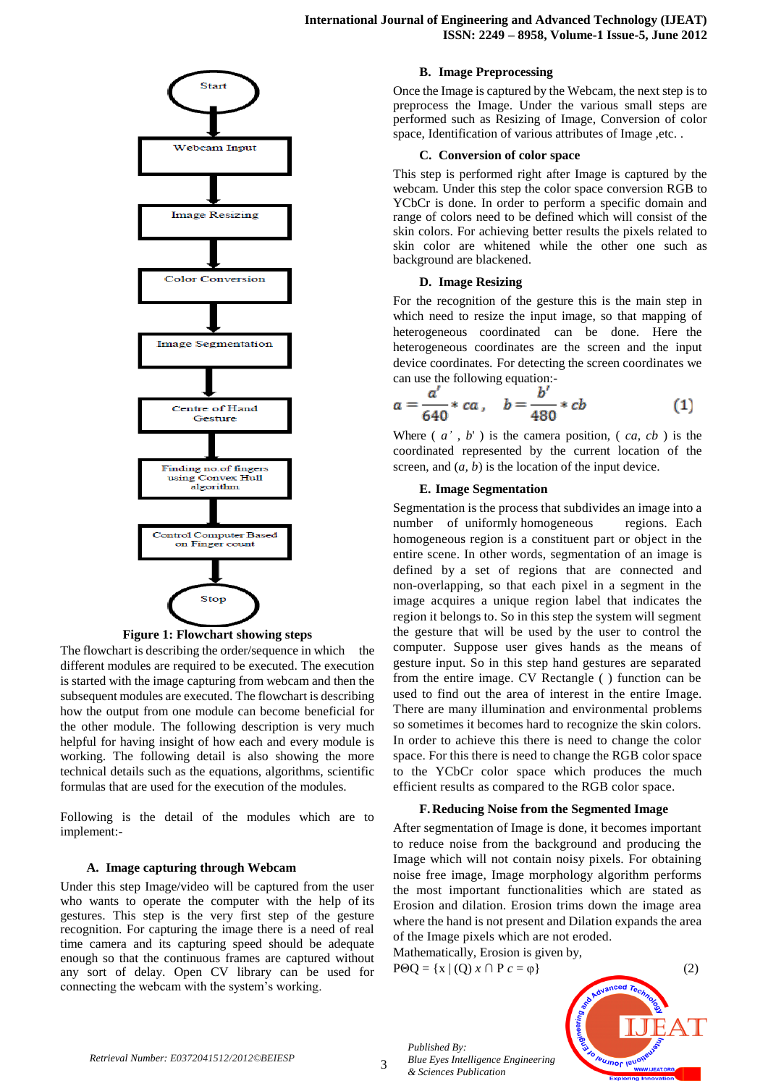



The flowchart is describing the order/sequence in which the different modules are required to be executed. The execution is started with the image capturing from webcam and then the subsequent modules are executed. The flowchart is describing how the output from one module can become beneficial for the other module. The following description is very much helpful for having insight of how each and every module is working. The following detail is also showing the more technical details such as the equations, algorithms, scientific formulas that are used for the execution of the modules.

Following is the detail of the modules which are to implement:-

### **A. Image capturing through Webcam**

Under this step Image/video will be captured from the user who wants to operate the computer with the help of its gestures. This step is the very first step of the gesture recognition. For capturing the image there is a need of real time camera and its capturing speed should be adequate enough so that the continuous frames are captured without any sort of delay. Open CV library can be used for connecting the webcam with the system's working.

## **B. Image Preprocessing**

Once the Image is captured by the Webcam, the next step is to preprocess the Image. Under the various small steps are performed such as Resizing of Image, Conversion of color space, Identification of various attributes of Image ,etc. .

#### **C. Conversion of color space**

This step is performed right after Image is captured by the webcam. Under this step the color space conversion RGB to YCbCr is done. In order to perform a specific domain and range of colors need to be defined which will consist of the skin colors. For achieving better results the pixels related to skin color are whitened while the other one such as background are blackened.

#### **D. Image Resizing**

For the recognition of the gesture this is the main step in which need to resize the input image, so that mapping of heterogeneous coordinated can be done. Here the heterogeneous coordinates are the screen and the input device coordinates. For detecting the screen coordinates we can use the following equation:-

$$
a = \frac{a'}{640} * ca \,, \quad b = \frac{b'}{480} * cb \tag{1}
$$

Where  $(a', b')$  is the camera position,  $(a, cb)$  is the coordinated represented by the current location of the screen, and  $(a, b)$  is the location of the input device.

### **E. Image Segmentation**

Segmentation is the process that subdivides an image into a number of uniformly homogeneous regions. Each homogeneous region is a constituent part or object in the entire scene. In other words, segmentation of an image is defined by a set of regions that are connected and non-overlapping, so that each pixel in a segment in the image acquires a unique region label that indicates the region it belongs to. So in this step the system will segment the gesture that will be used by the user to control the computer. Suppose user gives hands as the means of gesture input. So in this step hand gestures are separated from the entire image. CV Rectangle ( ) function can be used to find out the area of interest in the entire Image. There are many illumination and environmental problems so sometimes it becomes hard to recognize the skin colors. In order to achieve this there is need to change the color space. For this there is need to change the RGB color space to the YCbCr color space which produces the much efficient results as compared to the RGB color space.

#### **F.Reducing Noise from the Segmented Image**

After segmentation of Image is done, it becomes important to reduce noise from the background and producing the Image which will not contain noisy pixels. For obtaining noise free image, Image morphology algorithm performs the most important functionalities which are stated as Erosion and dilation. Erosion trims down the image area where the hand is not present and Dilation expands the area of the Image pixels which are not eroded.

Mathematically, Erosion is given by,

*Blue Eyes Intelligence Engineering* 



*Published By:*

*& Sciences Publication*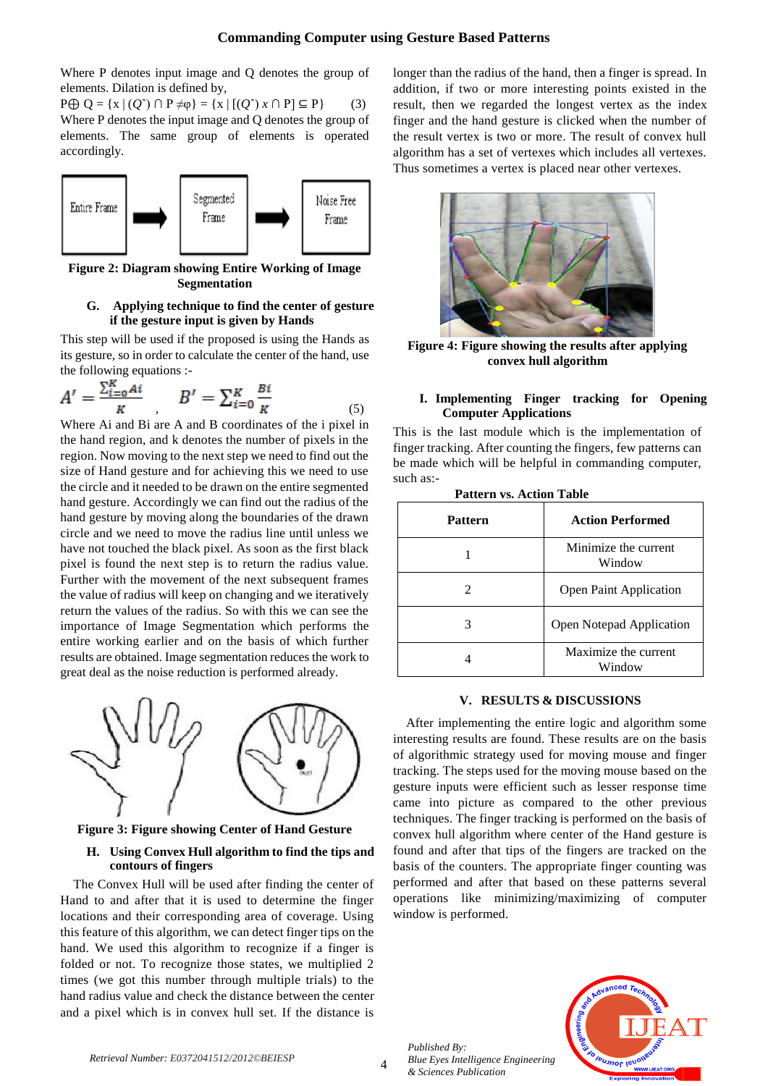# **Commanding Computer using Gesture Based Patterns**

Where P denotes input image and Q denotes the group of elements. Dilation is defined by,

 $P \oplus Q = \{x \mid (Q^c) \cap P \neq \emptyset\} = \{x \mid [(Q^c)x \cap P] \subseteq P\}$  (3) Where P denotes the input image and Q denotes the group of elements. The same group of elements is operated accordingly.



**Figure 2: Diagram showing Entire Working of Image Segmentation**

## **G. Applying technique to find the center of gesture if the gesture input is given by Hands**

This step will be used if the proposed is using the Hands as its gesture, so in order to calculate the center of the hand, use the following equations :-

$$
A' = \frac{\sum_{i=0}^{K} Ai}{K} \quad , \quad B' = \sum_{i=0}^{K} \frac{Bi}{K} \tag{5}
$$

Where Ai and Bi are A and B coordinates of the i pixel in the hand region, and k denotes the number of pixels in the region. Now moving to the next step we need to find out the size of Hand gesture and for achieving this we need to use the circle and it needed to be drawn on the entire segmented hand gesture. Accordingly we can find out the radius of the hand gesture by moving along the boundaries of the drawn circle and we need to move the radius line until unless we have not touched the black pixel. As soon as the first black pixel is found the next step is to return the radius value. Further with the movement of the next subsequent frames the value of radius will keep on changing and we iteratively return the values of the radius. So with this we can see the importance of Image Segmentation which performs the entire working earlier and on the basis of which further results are obtained. Image segmentation reduces the work to great deal as the noise reduction is performed already.



**Figure 3: Figure showing Center of Hand Gesture**

# **H. Using Convex Hull algorithm to find the tips and contours of fingers**

The Convex Hull will be used after finding the center of Hand to and after that it is used to determine the finger locations and their corresponding area of coverage. Using this feature of this algorithm, we can detect finger tips on the hand. We used this algorithm to recognize if a finger is folded or not. To recognize those states, we multiplied 2 times (we got this number through multiple trials) to the hand radius value and check the distance between the center and a pixel which is in convex hull set. If the distance is longer than the radius of the hand, then a finger is spread. In addition, if two or more interesting points existed in the result, then we regarded the longest vertex as the index finger and the hand gesture is clicked when the number of the result vertex is two or more. The result of convex hull algorithm has a set of vertexes which includes all vertexes. Thus sometimes a vertex is placed near other vertexes.



**Figure 4: Figure showing the results after applying convex hull algorithm**

## **I. Implementing Finger tracking for Opening Computer Applications**

This is the last module which is the implementation of finger tracking. After counting the fingers, few patterns can be made which will be helpful in commanding computer, such as:-

| <b>Pattern</b>              | <b>Action Performed</b>        |
|-----------------------------|--------------------------------|
|                             | Minimize the current<br>Window |
| $\mathcal{D}_{\mathcal{L}}$ | <b>Open Paint Application</b>  |
| 3                           | Open Notepad Application       |
|                             | Maximize the current<br>Window |

 **Pattern vs. Action Table**

## **V. RESULTS & DISCUSSIONS**

After implementing the entire logic and algorithm some interesting results are found. These results are on the basis of algorithmic strategy used for moving mouse and finger tracking. The steps used for the moving mouse based on the gesture inputs were efficient such as lesser response time came into picture as compared to the other previous techniques. The finger tracking is performed on the basis of convex hull algorithm where center of the Hand gesture is found and after that tips of the fingers are tracked on the basis of the counters. The appropriate finger counting was performed and after that based on these patterns several operations like minimizing/maximizing of computer window is performed.

*Published By: Blue Eyes Intelligence Engineering & Sciences Publication*